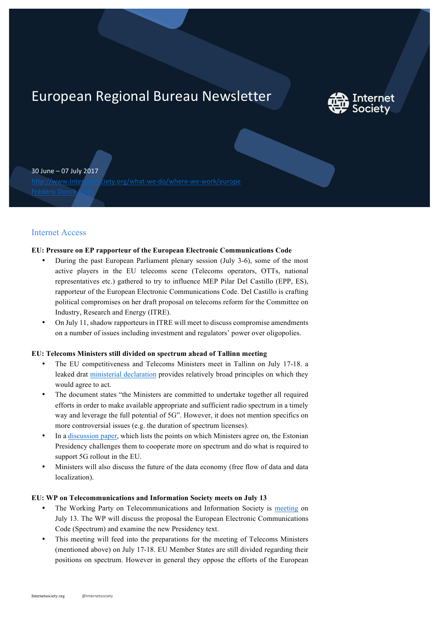# European Regional Bureau Newsletter



30 June – 07 July 2017

http://www.Internetsociety.org/what-we-do/where-we-work/europe

# Internet Access

## **EU: Pressure on EP rapporteur of the European Electronic Communications Code**

- During the past European Parliament plenary session (July 3-6), some of the most active players in the EU telecoms scene (Telecoms operators, OTTs, national representatives etc.) gathered to try to influence MEP Pilar Del Castillo (EPP, ES), rapporteur of the European Electronic Communications Code. Del Castillo is crafting political compromises on her draft proposal on telecoms reform for the Committee on Industry, Research and Energy (ITRE).
- On July 11, shadow rapporteurs in ITRE will meet to discuss compromise amendments on a number of issues including investment and regulators' power over oligopolies.

## **EU: Telecoms Ministers still divided on spectrum ahead of Tallinn meeting**

- The EU competitiveness and Telecoms Ministers meet in Tallinn on July 17-18. a leaked drat ministerial declaration provides relatively broad principles on which they would agree to act.
- The document states "the Ministers are committed to undertake together all required efforts in order to make available appropriate and sufficient radio spectrum in a timely way and leverage the full potential of 5G". However, it does not mention specifics on more controversial issues (e.g. the duration of spectrum licenses).
- In a discussion paper, which lists the points on which Ministers agree on, the Estonian Presidency challenges them to cooperate more on spectrum and do what is required to support 5G rollout in the EU.
- Ministers will also discuss the future of the data economy (free flow of data and data localization).

## **EU: WP on Telecommunications and Information Society meets on July 13**

- The Working Party on Telecommunications and Information Society is meeting on July 13. The WP will discuss the proposal the European Electronic Communications Code (Spectrum) and examine the new Presidency text.
- This meeting will feed into the preparations for the meeting of Telecoms Ministers (mentioned above) on July 17-18. EU Member States are still divided regarding their positions on spectrum. However in general they oppose the efforts of the European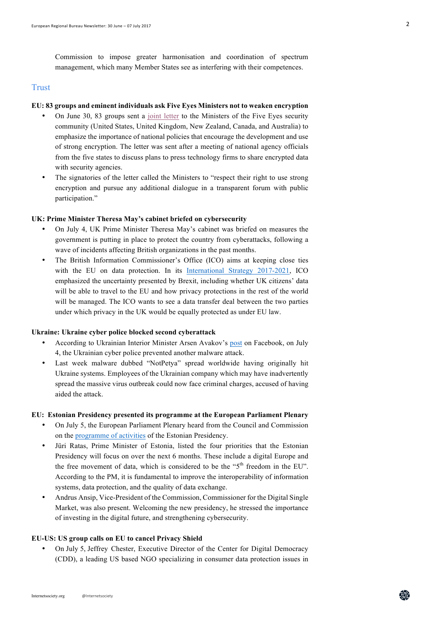## Trust

## **EU: 83 groups and eminent individuals ask Five Eyes Ministers not to weaken encryption**

- On June 30, 83 groups sent a joint letter to the Ministers of the Five Eyes security community (United States, United Kingdom, New Zealand, Canada, and Australia) to emphasize the importance of national policies that encourage the development and use of strong encryption. The letter was sent after a meeting of national agency officials from the five states to discuss plans to press technology firms to share encrypted data with security agencies.
- The signatories of the letter called the Ministers to "respect their right to use strong encryption and pursue any additional dialogue in a transparent forum with public participation."

#### **UK: Prime Minister Theresa May's cabinet briefed on cybersecurity**

- On July 4, UK Prime Minister Theresa May's cabinet was briefed on measures the government is putting in place to protect the country from cyberattacks, following a wave of incidents affecting British organizations in the past months.
- The British Information Commissioner's Office (ICO) aims at keeping close ties with the EU on data protection. In its International Strategy 2017-2021, ICO emphasized the uncertainty presented by Brexit, including whether UK citizens' data will be able to travel to the EU and how privacy protections in the rest of the world will be managed. The ICO wants to see a data transfer deal between the two parties under which privacy in the UK would be equally protected as under EU law.

#### **Ukraine: Ukraine cyber police blocked second cyberattack**

- According to Ukrainian Interior Minister Arsen Avakov's post on Facebook, on July 4, the Ukrainian cyber police prevented another malware attack.
- Last week malware dubbed "NotPetya" spread worldwide having originally hit Ukraine systems. Employees of the Ukrainian company which may have inadvertently spread the massive virus outbreak could now face criminal charges, accused of having aided the attack.

## **EU: Estonian Presidency presented its programme at the European Parliament Plenary**

- On July 5, the European Parliament Plenary heard from the Council and Commission on the programme of activities of the Estonian Presidency.
- Jüri Ratas, Prime Minister of Estonia, listed the four priorities that the Estonian Presidency will focus on over the next 6 months. These include a digital Europe and the free movement of data, which is considered to be the " $5<sup>th</sup>$  freedom in the EU". According to the PM, it is fundamental to improve the interoperability of information systems, data protection, and the quality of data exchange.
- Andrus Ansip, Vice-President of the Commission, Commissioner for the Digital Single Market, was also present. Welcoming the new presidency, he stressed the importance of investing in the digital future, and strengthening cybersecurity.

#### **EU-US: US group calls on EU to cancel Privacy Shield**

• On July 5, Jeffrey Chester, Executive Director of the Center for Digital Democracy (CDD), a leading US based NGO specializing in consumer data protection issues in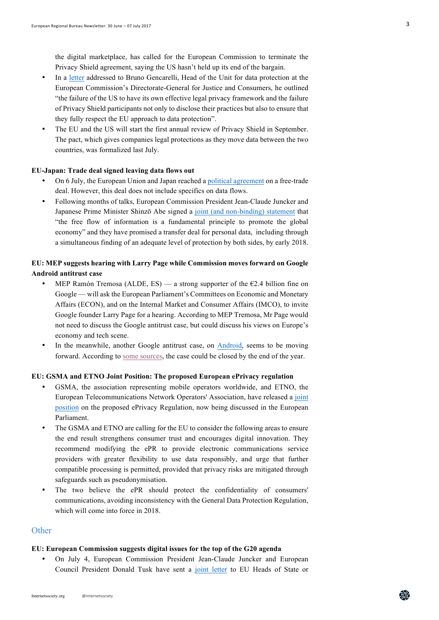the digital marketplace, has called for the European Commission to terminate the Privacy Shield agreement, saying the US hasn't held up its end of the bargain.

- In a letter addressed to Bruno Gencarelli, Head of the Unit for data protection at the European Commission's Directorate-General for Justice and Consumers, he outlined "the failure of the US to have its own effective legal privacy framework and the failure of Privacy Shield participants not only to disclose their practices but also to ensure that they fully respect the EU approach to data protection".
- The EU and the US will start the first annual review of Privacy Shield in September. The pact, which gives companies legal protections as they move data between the two countries, was formalized last July.

#### **EU-Japan: Trade deal signed leaving data flows out**

- On 6 July, the European Union and Japan reached a political agreement on a free-trade deal. However, this deal does not include specifics on data flows.
- Following months of talks, European Commission President Jean-Claude Juncker and Japanese Prime Minister Shinzō Abe signed a joint (and non-binding) statement that "the free flow of information is a fundamental principle to promote the global economy" and they have promised a transfer deal for personal data, including through a simultaneous finding of an adequate level of protection by both sides, by early 2018.

# **EU: MEP suggests hearing with Larry Page while Commission moves forward on Google Android antitrust case**

- MEP Ramón Tremosa (ALDE, ES) a strong supporter of the  $E2.4$  billion fine on Google — will ask the European Parliament's Committees on Economic and Monetary Affairs (ECON), and on the Internal Market and Consumer Affairs (IMCO), to invite Google founder Larry Page for a hearing. According to MEP Tremosa, Mr Page would not need to discuss the Google antitrust case, but could discuss his views on Europe's economy and tech scene.
- In the meanwhile, another Google antitrust case, on Android, seems to be moving forward. According to some sources, the case could be closed by the end of the year.

## **EU: GSMA and ETNO Joint Position: The proposed European ePrivacy regulation**

- GSMA, the association representing mobile operators worldwide, and ETNO, the European Telecommunications Network Operators' Association, have released a joint position on the proposed ePrivacy Regulation, now being discussed in the European Parliament.
- The GSMA and ETNO are calling for the EU to consider the following areas to ensure the end result strengthens consumer trust and encourages digital innovation. They recommend modifying the ePR to provide electronic communications service providers with greater flexibility to use data responsibly, and urge that further compatible processing is permitted, provided that privacy risks are mitigated through safeguards such as pseudonymisation.
- The two believe the ePR should protect the confidentiality of consumers' communications, avoiding inconsistency with the General Data Protection Regulation, which will come into force in 2018.

#### **Other**

#### **EU: European Commission suggests digital issues for the top of the G20 agenda**

• On July 4, European Commission President Jean-Claude Juncker and European Council President Donald Tusk have sent a joint letter to EU Heads of State or